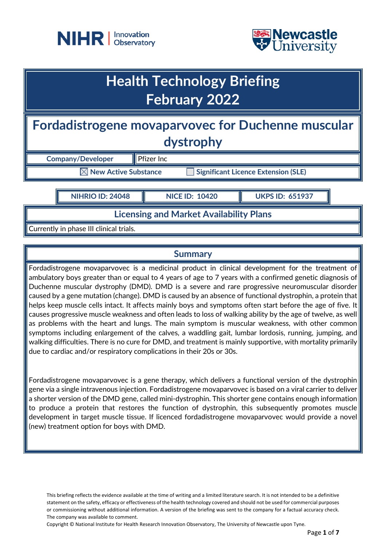



## **Health Technology Briefing February 2022**

**Fordadistrogene movaparvovec for Duchenne muscular dystrophy**

**Company/Developer** Pfizer Inc

**New Active Substance Interaction Significant Licence Extension (SLE)** 

**NIHRIO ID: 24048 NICE ID: 10420 UKPS ID: 651937**

**Licensing and Market Availability Plans**

Currently in phase III clinical trials.

### **Summary**

Fordadistrogene movaparvovec is a medicinal product in clinical development for the treatment of ambulatory boys greater than or equal to 4 years of age to 7 years with a confirmed genetic diagnosis of Duchenne muscular dystrophy (DMD). DMD is a severe and rare progressive neuromuscular disorder caused by a gene mutation (change). DMD is caused by an absence of functional dystrophin, a protein that helps keep muscle cells intact. It affects mainly boys and symptoms often start before the age of five. It causes progressive muscle weakness and often leads to loss of walking ability by the age of twelve, as well as problems with the heart and lungs. The main symptom is muscular weakness, with other common symptoms including enlargement of the calves, a waddling gait, lumbar lordosis, running, jumping, and walking difficulties. There is no cure for DMD, and treatment is mainly supportive, with mortality primarily due to cardiac and/or respiratory complications in their 20s or 30s.

Fordadistrogene movaparvovec is a gene therapy, which delivers a functional version of the dystrophin gene via a single intravenous injection. Fordadistrogene movaparvovec is based on a viral carrier to deliver a shorter version of the DMD gene, called mini-dystrophin. This shorter gene contains enough information to produce a protein that restores the function of dystrophin, this subsequently promotes muscle development in target muscle tissue. If licenced fordadistrogene movaparvovec would provide a novel (new) treatment option for boys with DMD.

This briefing reflects the evidence available at the time of writing and a limited literature search. It is not intended to be a definitive statement on the safety, efficacy or effectiveness of the health technology covered and should not be used for commercial purposes or commissioning without additional information. A version of the briefing was sent to the company for a factual accuracy check. The company was available to comment.

Copyright © National Institute for Health Research Innovation Observatory, The University of Newcastle upon Tyne.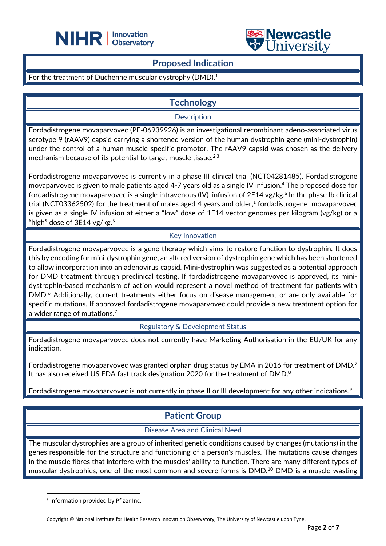



### **Proposed Indication**

֦

For the treatment of Duchenne muscular dystrophy (DMD).<sup>1</sup>

### **Technology**

### **Description**

Fordadistrogene movaparvovec (PF-06939926) is an investigational recombinant adeno-associated virus serotype 9 (rAAV9) capsid carrying a shortened version of the human dystrophin gene (mini-dystrophin) under the control of a human muscle-specific promotor. The rAAV9 capsid was chosen as the delivery mechanism because of its potential to target muscle tissue.<sup>2,3</sup>

Fordadistrogene movaparvovec is currently in a phase III clinical trial (NCT04281485). Fordadistrogene movaparvovec is given to male patients aged 4-7 years old as a single IV infusion.<sup>4</sup> The proposed dose for fordadistrogene movaparvovec is a single intravenous (IV) infusion of 2E14 vg/kg.<sup>a</sup> In the phase Ib clinical trial (NCT03362502) for the treatment of males aged 4 years and older, 1 fordadistrogene movaparvovec is given as a single IV infusion at either a "low" dose of 1E14 vector genomes per kilogram (vg/kg) or a "high" dose of  $3E14$  vg/kg.<sup>5</sup>

### Key Innovation

Fordadistrogene movaparvovec is a gene therapy which aims to restore function to dystrophin. It does this by encoding for mini-dystrophin gene, an altered version of dystrophin gene which has been shortened to allow incorporation into an adenovirus capsid. Mini-dystrophin was suggested as a potential approach for DMD treatment through preclinical testing. If fordadistrogene movaparvovec is approved, its minidystrophin-based mechanism of action would represent a novel method of treatment for patients with DMD.<sup>6</sup> Additionally, current treatments either focus on disease management or are only available for specific mutations. If approved fordadistrogene movaparvovec could provide a new treatment option for a wider range of mutations.<sup>7</sup>

Regulatory & Development Status

Fordadistrogene movaparvovec does not currently have Marketing Authorisation in the EU/UK for any indication.

Fordadistrogene movaparvovec was granted orphan drug status by EMA in 2016 for treatment of DMD.<sup>7</sup> It has also received US FDA fast track designation 2020 for the treatment of DMD. $^8$ 

Fordadistrogene movaparvovec is not currently in phase II or III development for any other indications.<sup>9</sup>

## **Patient Group**

### Disease Area and Clinical Need

The muscular dystrophies are a group of inherited genetic conditions caused by changes (mutations) in the genes responsible for the structure and functioning of a person's muscles. The mutations cause changes in the muscle fibres that interfere with the muscles' ability to function. There are many different types of muscular dystrophies, one of the most common and severe forms is DMD.<sup>10</sup> DMD is a muscle-wasting

a Information provided by Pfizer Inc.

Copyright © National Institute for Health Research Innovation Observatory, The University of Newcastle upon Tyne.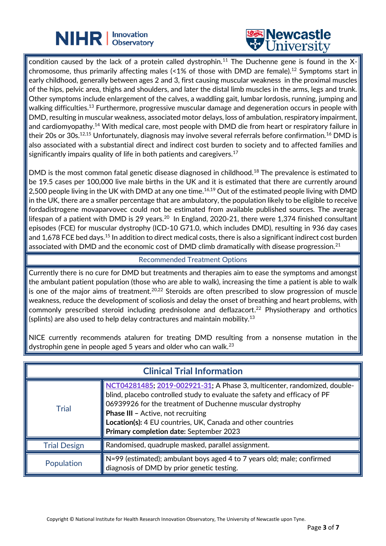# **NIHR** | Innovation



condition caused by the lack of a protein called dystrophin.<sup>11</sup> The Duchenne gene is found in the Xchromosome, thus primarily affecting males (<1% of those with DMD are female).<sup>12</sup> Symptoms start in early childhood, generally between ages 2 and 3, first causing muscular weakness in the proximal muscles of the hips, pelvic area, thighs and shoulders, and later the distal limb muscles in the arms, legs and trunk. Other symptoms include enlargement of the calves, a waddling gait, lumbar lordosis, running, jumping and walking difficulties.<sup>13</sup> Furthermore, progressive muscular damage and degeneration occurs in people with DMD, resulting in muscular weakness, associated motor delays, loss of ambulation, respiratory impairment, and cardiomyopathy.<sup>14</sup> With medical care, most people with DMD die from heart or respiratory failure in their 20s or 30s.<sup>12,15</sup> Unfortunately, diagnosis may involve several referrals before confirmation.<sup>16</sup> DMD is also associated with a substantial direct and indirect cost burden to society and to affected families and significantly impairs quality of life in both patients and caregivers.<sup>17</sup>

֦

DMD is the most common fatal genetic disease diagnosed in childhood.<sup>18</sup> The prevalence is estimated to be 19.5 cases per 100,000 live male births in the UK and it is estimated that there are currently around 2,500 people living in the UK with DMD at any one time. $^{16,19}$  Out of the estimated people living with DMD in the UK, there are a smaller percentage that are ambulatory, the population likely to be eligible to receive fordadistrogene movaparvovec could not be estimated from available published sources. The average lifespan of a patient with DMD is 29 years.<sup>20</sup> In England, 2020-21, there were 1,374 finished consultant episodes (FCE) for muscular dystrophy (ICD-10 G71.0, which includes DMD), resulting in 936 day cases and 1,678 FCE bed days.<sup>15</sup> In addition to direct medical costs, there is also a significant indirect cost burden associated with DMD and the economic cost of DMD climb dramatically with disease progression.<sup>21</sup>

### Recommended Treatment Options

Currently there is no cure for DMD but treatments and therapies aim to ease the symptoms and amongst the ambulant patient population (those who are able to walk), increasing the time a patient is able to walk is one of the major aims of treatment.<sup>20,22</sup> Steroids are often prescribed to slow progression of muscle weakness, reduce the development of scoliosis and delay the onset of breathing and heart problems, with commonly prescribed steroid including prednisolone and deflazacort. <sup>22</sup> Physiotherapy and orthotics (splints) are also used to help delay contractures and maintain mobility.<sup>13</sup>

NICE currently recommends ataluren for treating DMD resulting from a nonsense mutation in the dystrophin gene in people aged 5 years and older who can walk.<sup>23</sup>

| <b>Clinical Trial Information</b> |                                                                                                                                                                                                                                                                                                                                                                           |  |
|-----------------------------------|---------------------------------------------------------------------------------------------------------------------------------------------------------------------------------------------------------------------------------------------------------------------------------------------------------------------------------------------------------------------------|--|
| <b>Trial</b>                      | NCT04281485; 2019-002921-31; A Phase 3, multicenter, randomized, double-<br>blind, placebo controlled study to evaluate the safety and efficacy of PF<br>06939926 for the treatment of Duchenne muscular dystrophy<br><b>Phase III - Active, not recruiting</b><br>Location(s): 4 EU countries, UK, Canada and other countries<br>Primary completion date: September 2023 |  |
| <b>Trial Design</b>               | Randomised, quadruple masked, parallel assignment.                                                                                                                                                                                                                                                                                                                        |  |
| Population                        | $\parallel$ N=99 (estimated); ambulant boys aged 4 to 7 years old; male; confirmed<br>diagnosis of DMD by prior genetic testing.                                                                                                                                                                                                                                          |  |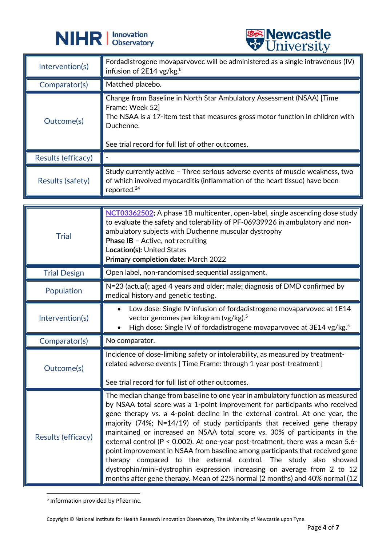



|                    | $\triangledown$ $\cup$ $\cdots$                                                                                                                                                                                                              |
|--------------------|----------------------------------------------------------------------------------------------------------------------------------------------------------------------------------------------------------------------------------------------|
| Intervention(s)    | Fordadistrogene movaparvovec will be administered as a single intravenous (IV)<br>infusion of 2E14 vg/kg. <sup>b</sup>                                                                                                                       |
| Comparator(s)      | Matched placebo.                                                                                                                                                                                                                             |
| Outcome(s)         | Change from Baseline in North Star Ambulatory Assessment (NSAA) [Time<br>Frame: Week 52]<br>The NSAA is a 17-item test that measures gross motor function in children with<br>Duchenne.<br>See trial record for full list of other outcomes. |
| Results (efficacy) |                                                                                                                                                                                                                                              |
| Results (safety)   | Study currently active - Three serious adverse events of muscle weakness, two<br>of which involved myocarditis (inflammation of the heart tissue) have been<br>reported. <sup>24</sup>                                                       |

| <b>Trial</b>        | NCT03362502; A phase 1B multicenter, open-label, single ascending dose study<br>to evaluate the safety and tolerability of PF-06939926 in ambulatory and non-<br>ambulatory subjects with Duchenne muscular dystrophy<br><b>Phase IB - Active, not recruiting</b><br>Location(s): United States<br>Primary completion date: March 2022                                                                                                                                                                                                                                                                                                                                                                                         |
|---------------------|--------------------------------------------------------------------------------------------------------------------------------------------------------------------------------------------------------------------------------------------------------------------------------------------------------------------------------------------------------------------------------------------------------------------------------------------------------------------------------------------------------------------------------------------------------------------------------------------------------------------------------------------------------------------------------------------------------------------------------|
| <b>Trial Design</b> | Open label, non-randomised sequential assignment.                                                                                                                                                                                                                                                                                                                                                                                                                                                                                                                                                                                                                                                                              |
| Population          | N=23 (actual); aged 4 years and older; male; diagnosis of DMD confirmed by<br>medical history and genetic testing.                                                                                                                                                                                                                                                                                                                                                                                                                                                                                                                                                                                                             |
| Intervention(s)     | Low dose: Single IV infusion of fordadistrogene movaparvovec at 1E14<br>$\bullet$<br>vector genomes per kilogram (vg/kg). <sup>5</sup><br>High dose: Single IV of fordadistrogene movaparvovec at 3E14 vg/kg. <sup>5</sup><br>$\bullet$                                                                                                                                                                                                                                                                                                                                                                                                                                                                                        |
| Comparator(s)       | No comparator.                                                                                                                                                                                                                                                                                                                                                                                                                                                                                                                                                                                                                                                                                                                 |
| Outcome(s)          | Incidence of dose-limiting safety or intolerability, as measured by treatment-<br>related adverse events [ Time Frame: through 1 year post-treatment ]<br>See trial record for full list of other outcomes.                                                                                                                                                                                                                                                                                                                                                                                                                                                                                                                    |
| Results (efficacy)  | The median change from baseline to one year in ambulatory function as measured<br>by NSAA total score was a 1-point improvement for participants who received<br>gene therapy vs. a 4-point decline in the external control. At one year, the<br>majority (74%; N=14/19) of study participants that received gene therapy<br>maintained or increased an NSAA total score vs. 30% of participants in the<br>external control ( $P < 0.002$ ). At one-year post-treatment, there was a mean 5.6-<br>point improvement in NSAA from baseline among participants that received gene<br>therapy compared to the external control. The study also showed<br>dystrophin/mini-dystrophin expression increasing on average from 2 to 12 |

**b** Information provided by Pfizer Inc.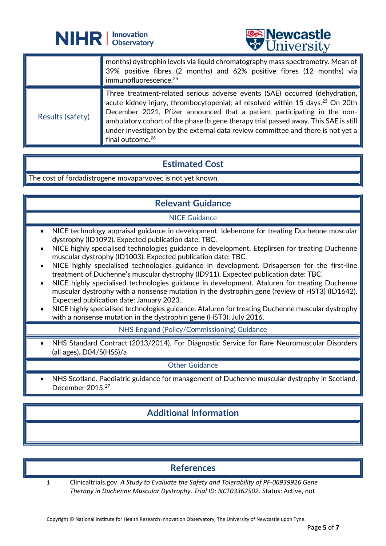



|                  | $\mid$ months) dystrophin levels via liquid chromatography mass spectrometry. Mean of $\mid$<br>39% positive fibres (2 months) and 62% positive fibres (12 months) via<br>immunofluorescence. <sup>25</sup>                                                                                                                                                                                                                                                      |
|------------------|------------------------------------------------------------------------------------------------------------------------------------------------------------------------------------------------------------------------------------------------------------------------------------------------------------------------------------------------------------------------------------------------------------------------------------------------------------------|
| Results (safety) | Three treatment-related serious adverse events (SAE) occurred (dehydration,<br>acute kidney injury, thrombocytopenia); all resolved within 15 days. <sup>25</sup> On 20th<br>December 2021, Pfizer announced that a patient participating in the non-<br>ambulatory cohort of the phase Ib gene therapy trial passed away. This SAE is still<br>under investigation by the external data review committee and there is not yet a<br>final outcome. <sup>26</sup> |

֦

## **Estimated Cost**

The cost of fordadistrogene movaparvovec is not yet known.

### **Relevant Guidance**

#### NICE Guidance

- NICE technology appraisal guidance in development. Idebenone for treating Duchenne muscular dystrophy (ID1092). Expected publication date: TBC.
- NICE highly specialised technologies guidance in development. Eteplirsen for treating Duchenne muscular dystrophy (ID1003). Expected publication date: TBC.
- NICE highly specialised technologies guidance in development. Drisapersen for the first-line treatment of Duchenne's muscular dystrophy (ID911). Expected publication date: TBC.
- NICE highly specialised technologies guidance in development. Ataluren for treating Duchenne muscular dystrophy with a nonsense mutation in the dystrophin gene (review of HST3) (ID1642). Expected publication date: January 2023.
- NICE highly specialised technologies guidance. Ataluren for treating Duchenne muscular dystrophy with a nonsense mutation in the dystrophin gene (HST3). July 2016.

NHS England (Policy/Commissioning) Guidance

NHS Standard Contract (2013/2014). For Diagnostic Service for Rare Neuromuscular Disorders (all ages). D04/S(HSS)/a

Other Guidance

• NHS Scotland. Paediatric guidance for management of Duchenne muscular dystrophy in Scotland. December 2015.<sup>27</sup>

## **Additional Information**

## **References**

1 Clinicaltrials.gov. *A Study to Evaluate the Safety and Tolerability of PF-06939926 Gene Therapy in Duchenne Muscular Dystrophy*. *Trial ID: NCT03362502*. Status: Active, not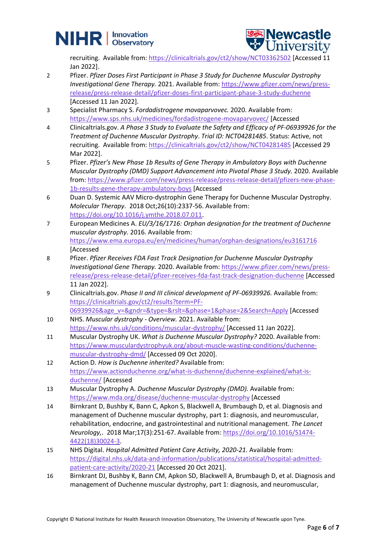



recruiting. Available from:<https://clinicaltrials.gov/ct2/show/NCT03362502> [Accessed 11 Jan 2022].

- 2 Pfizer. *Pfizer Doses First Participant in Phase 3 Study for Duchenne Muscular Dystrophy Investigational Gene Therapy.* 2021. Available from[: https://www.pfizer.com/news/press](https://www.pfizer.com/news/press-release/press-release-detail/pfizer-doses-first-participant-phase-3-study-duchenne)[release/press-release-detail/pfizer-doses-first-participant-phase-3-study-duchenne](https://www.pfizer.com/news/press-release/press-release-detail/pfizer-doses-first-participant-phase-3-study-duchenne) [Accessed 11 Jan 2022].
- 3 Specialist Pharmacy S. *Fordadistrogene movaparvovec.* 2020. Available from: <https://www.sps.nhs.uk/medicines/fordadistrogene-movaparvovec/> [Accessed
- 4 Clinicaltrials.gov. *A Phase 3 Study to Evaluate the Safety and Efficacy of PF-06939926 for the Treatment of Duchenne Muscular Dystrophy*. *Trial ID: NCT04281485*. Status: Active, not recruiting. Available from:<https://clinicaltrials.gov/ct2/show/NCT04281485> [Accessed 29 Mar 2022].
- 5 Pfizer. *Pfizer's New Phase 1b Results of Gene Therapy in Ambulatory Boys with Duchenne Muscular Dystrophy (DMD) Support Advancement into Pivotal Phase 3 Study.* 2020. Available from: [https://www.pfizer.com/news/press-release/press-release-detail/pfizers-new-phase-](https://www.pfizer.com/news/press-release/press-release-detail/pfizers-new-phase-1b-results-gene-therapy-ambulatory-boys)[1b-results-gene-therapy-ambulatory-boys](https://www.pfizer.com/news/press-release/press-release-detail/pfizers-new-phase-1b-results-gene-therapy-ambulatory-boys) [Accessed
- 6 Duan D. Systemic AAV Micro-dystrophin Gene Therapy for Duchenne Muscular Dystrophy. *Molecular Therapy*. 2018 Oct;26(10):2337-56. Available from: [https://doi.org/10.1016/j.ymthe.2018.07.011.](https://doi.org/10.1016/j.ymthe.2018.07.011)
- 7 European Medicines A. *EU/3/16/1716: Orphan designation for the treatment of Duchenne muscular dystrophy.* 2016. Available from: <https://www.ema.europa.eu/en/medicines/human/orphan-designations/eu3161716> [Accessed
- 8 Pfizer. *Pfizer Receives FDA Fast Track Designation for Duchenne Muscular Dystrophy Investigational Gene Therapy.* 2020. Available from[: https://www.pfizer.com/news/press](https://www.pfizer.com/news/press-release/press-release-detail/pfizer-receives-fda-fast-track-designation-duchenne)[release/press-release-detail/pfizer-receives-fda-fast-track-designation-duchenne](https://www.pfizer.com/news/press-release/press-release-detail/pfizer-receives-fda-fast-track-designation-duchenne) [Accessed 11 Jan 2022].
- 9 Clinicaltrials.gov. *Phase II and III clinical development of PF-06939926.* Available from: [https://clinicaltrials.gov/ct2/results?term=PF-](https://clinicaltrials.gov/ct2/results?term=PF-06939926&age_v=&gndr=&type=&rslt=&phase=1&phase=2&Search=Apply)[06939926&age\\_v=&gndr=&type=&rslt=&phase=1&phase=2&Search=Apply](https://clinicaltrials.gov/ct2/results?term=PF-06939926&age_v=&gndr=&type=&rslt=&phase=1&phase=2&Search=Apply) [Accessed
- 10 NHS. *Muscular dystrophy - Overview.* 2021. Available from: <https://www.nhs.uk/conditions/muscular-dystrophy/> [Accessed 11 Jan 2022].
- 11 Muscular Dystrophy UK. *What is Duchenne Muscular Dystrophy?* 2020. Available from: [https://www.musculardystrophyuk.org/about-muscle-wasting-conditions/duchenne](https://www.musculardystrophyuk.org/about-muscle-wasting-conditions/duchenne-muscular-dystrophy-dmd/)[muscular-dystrophy-dmd/](https://www.musculardystrophyuk.org/about-muscle-wasting-conditions/duchenne-muscular-dystrophy-dmd/) [Accessed 09 Oct 2020].
- 12 Action D. *How is Duchenne inherited?* Available from: [https://www.actionduchenne.org/what-is-duchenne/duchenne-explained/what-is](https://www.actionduchenne.org/what-is-duchenne/duchenne-explained/what-is-duchenne/)[duchenne/](https://www.actionduchenne.org/what-is-duchenne/duchenne-explained/what-is-duchenne/) [Accessed
- 13 Muscular Dystrophy A. *Duchenne Muscular Dystrophy (DMD).* Available from: <https://www.mda.org/disease/duchenne-muscular-dystrophy> [Accessed
- 14 Birnkrant D, Bushby K, Bann C, Apkon S, Blackwell A, Brumbaugh D, et al. Diagnosis and management of Duchenne muscular dystrophy, part 1: diagnosis, and neuromuscular, rehabilitation, endocrine, and gastrointestinal and nutritional management. *The Lancet Neurology,*. 2018 Mar;17(3):251-67. Available from: [https://doi.org/10.1016/S1474-](https://doi.org/10.1016/S1474-4422(18)30024-3) [4422\(18\)30024-3.](https://doi.org/10.1016/S1474-4422(18)30024-3)
- 15 NHS Digital. *Hospital Admitted Patient Care Activity, 2020-21.* Available from: [https://digital.nhs.uk/data-and-information/publications/statistical/hospital-admitted](https://digital.nhs.uk/data-and-information/publications/statistical/hospital-admitted-patient-care-activity/2020-21)[patient-care-activity/2020-21](https://digital.nhs.uk/data-and-information/publications/statistical/hospital-admitted-patient-care-activity/2020-21) [Accessed 20 Oct 2021].
- 16 Birnkrant DJ, Bushby K, Bann CM, Apkon SD, Blackwell A, Brumbaugh D, et al. Diagnosis and management of Duchenne muscular dystrophy, part 1: diagnosis, and neuromuscular,